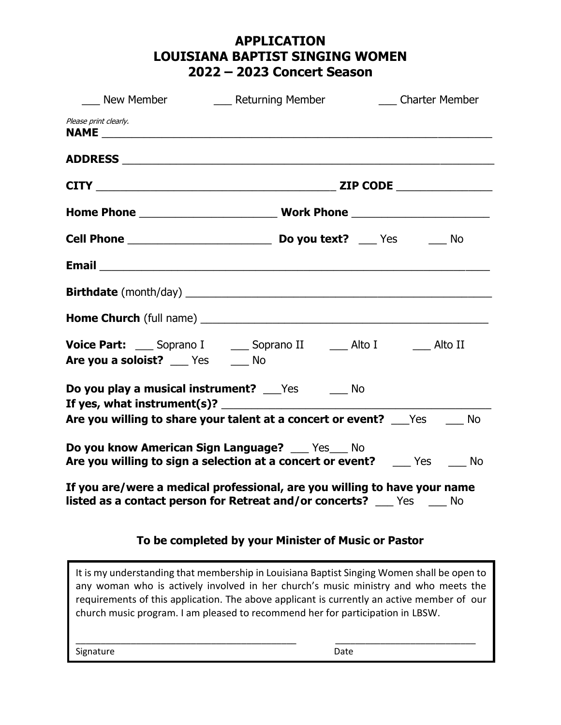# **APPLICATION LOUISIANA BAPTIST SINGING WOMEN 2022 – 2023 Concert Season**

| New Member                                                                                                                                                 | ____ Returning Member<br><b>Charter Member</b>                     |  |  |
|------------------------------------------------------------------------------------------------------------------------------------------------------------|--------------------------------------------------------------------|--|--|
| Please print clearly.                                                                                                                                      |                                                                    |  |  |
|                                                                                                                                                            |                                                                    |  |  |
|                                                                                                                                                            |                                                                    |  |  |
|                                                                                                                                                            |                                                                    |  |  |
|                                                                                                                                                            |                                                                    |  |  |
|                                                                                                                                                            |                                                                    |  |  |
|                                                                                                                                                            |                                                                    |  |  |
|                                                                                                                                                            |                                                                    |  |  |
| Voice Part: Soprano I _____ Soprano II _______ Alto I _______ Alto II<br>Are you a soloist? __ Yes __ No                                                   |                                                                    |  |  |
| Do you play a musical instrument? Fig. 7 Control Mo                                                                                                        |                                                                    |  |  |
|                                                                                                                                                            | Are you willing to share your talent at a concert or event? Ves Mo |  |  |
| Do you know American Sign Language? __ Yes_ No<br>Are you willing to sign a selection at a concert or event? ______ Yes ______ No                          |                                                                    |  |  |
| If you are/were a medical professional, are you willing to have your name<br><b>listed as a contact person for Retreat and/or concerts?</b> ___ Yes ___ No |                                                                    |  |  |
| To be completed by your Minister of Music or Pastor                                                                                                        |                                                                    |  |  |

It is my understanding that membership in Louisiana Baptist Singing Women shall be open to any woman who is actively involved in her church's music ministry and who meets the requirements of this application. The above applicant is currently an active member of our church music program. I am pleased to recommend her for participation in LBSW.

\_\_\_\_\_\_\_\_\_\_\_\_\_\_\_\_\_\_\_\_\_\_\_\_\_\_\_\_\_\_\_\_\_\_\_\_\_\_\_\_\_\_\_\_ \_\_\_\_\_\_\_\_\_\_\_\_\_\_\_\_\_\_\_\_\_\_\_\_\_\_\_\_

Signature Date Date Accounts and Date Date Date